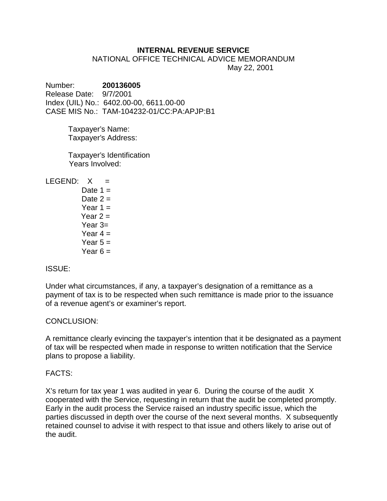## **INTERNAL REVENUE SERVICE**

NATIONAL OFFICE TECHNICAL ADVICE MEMORANDUM May 22, 2001

Number: **200136005** Release Date: 9/7/2001 Index (UIL) No.: 6402.00-00, 6611.00-00 CASE MIS No.: TAM-104232-01/CC:PA:APJP:B1

> Taxpayer's Name: Taxpayer's Address:

Taxpayer's Identification Years Involved:

 $LEGEND: X =$ 

Date  $1 =$ Date  $2 =$ Year  $1 =$ Year  $2 =$  Year 3= Year  $4 =$ Year  $5 =$ Year  $6 =$ 

# ISSUE:

Under what circumstances, if any, a taxpayer's designation of a remittance as a payment of tax is to be respected when such remittance is made prior to the issuance of a revenue agent's or examiner's report.

# CONCLUSION:

A remittance clearly evincing the taxpayer's intention that it be designated as a payment of tax will be respected when made in response to written notification that the Service plans to propose a liability.

### FACTS:

X's return for tax year 1 was audited in year 6. During the course of the audit X cooperated with the Service, requesting in return that the audit be completed promptly. Early in the audit process the Service raised an industry specific issue, which the parties discussed in depth over the course of the next several months. X subsequently retained counsel to advise it with respect to that issue and others likely to arise out of the audit.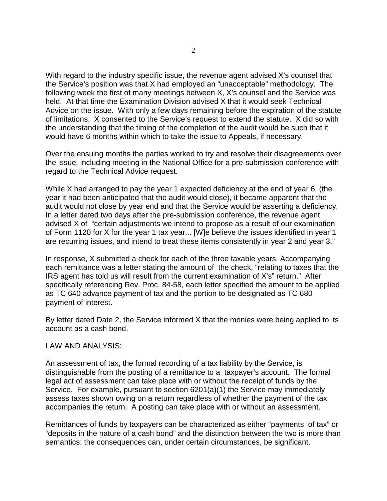With regard to the industry specific issue, the revenue agent advised X's counsel that the Service's position was that X had employed an "unacceptable" methodology. The following week the first of many meetings between X, X's counsel and the Service was held. At that time the Examination Division advised X that it would seek Technical Advice on the issue. With only a few days remaining before the expiration of the statute of limitations, X consented to the Service's request to extend the statute. X did so with the understanding that the timing of the completion of the audit would be such that it would have 6 months within which to take the issue to Appeals, if necessary.

Over the ensuing months the parties worked to try and resolve their disagreements over the issue, including meeting in the National Office for a pre-submission conference with regard to the Technical Advice request.

While X had arranged to pay the year 1 expected deficiency at the end of year 6, (the year it had been anticipated that the audit would close), it became apparent that the audit would not close by year end and that the Service would be asserting a deficiency. In a letter dated two days after the pre-submission conference, the revenue agent advised X of "certain adjustments we intend to propose as a result of our examination of Form 1120 for X for the year 1 tax year... [W]e believe the issues identified in year 1 are recurring issues, and intend to treat these items consistently in year 2 and year 3."

In response, X submitted a check for each of the three taxable years. Accompanying each remittance was a letter stating the amount of the check, "relating to taxes that the IRS agent has told us will result from the current examination of X's" return." After specifically referencing Rev. Proc. 84-58, each letter specified the amount to be applied as TC 640 advance payment of tax and the portion to be designated as TC 680 payment of interest.

By letter dated Date 2, the Service informed X that the monies were being applied to its account as a cash bond.

### LAW AND ANALYSIS:

An assessment of tax, the formal recording of a tax liability by the Service, is distinguishable from the posting of a remittance to a taxpayer's account. The formal legal act of assessment can take place with or without the receipt of funds by the Service. For example, pursuant to section 6201(a)(1) the Service may immediately assess taxes shown owing on a return regardless of whether the payment of the tax accompanies the return. A posting can take place with or without an assessment.

Remittances of funds by taxpayers can be characterized as either "payments of tax" or "deposits in the nature of a cash bond" and the distinction between the two is more than semantics; the consequences can, under certain circumstances, be significant.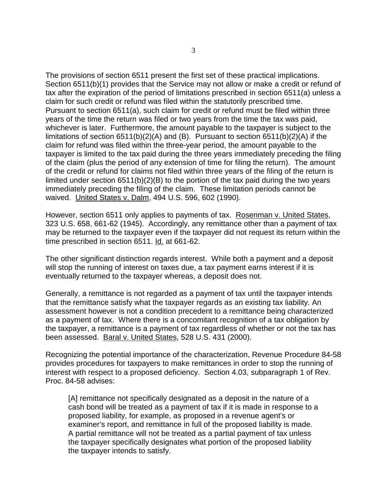The provisions of section 6511 present the first set of these practical implications. Section 6511(b)(1) provides that the Service may not allow or make a credit or refund of tax after the expiration of the period of limitations prescribed in section 6511(a) unless a claim for such credit or refund was filed within the statutorily prescribed time. Pursuant to section 6511(a), such claim for credit or refund must be filed within three years of the time the return was filed or two years from the time the tax was paid, whichever is later. Furthermore, the amount payable to the taxpayer is subject to the limitations of section 6511(b)(2)(A) and (B). Pursuant to section 6511(b)(2)(A) if the claim for refund was filed within the three-year period, the amount payable to the taxpayer is limited to the tax paid during the three years immediately preceding the filing of the claim (plus the period of any extension of time for filing the return). The amount of the credit or refund for claims not filed within three years of the filing of the return is limited under section 6511(b)(2)(B) to the portion of the tax paid during the two years immediately preceding the filing of the claim. These limitation periods cannot be waived. United States v. Dalm, 494 U.S. 596, 602 (1990).

However, section 6511 only applies to payments of tax. Rosenman v. United States, 323 U.S. 658, 661-62 (1945). Accordingly, any remittance other than a payment of tax may be returned to the taxpayer even if the taxpayer did not request its return within the time prescribed in section 6511. Id. at 661-62.

The other significant distinction regards interest. While both a payment and a deposit will stop the running of interest on taxes due, a tax payment earns interest if it is eventually returned to the taxpayer whereas, a deposit does not.

Generally, a remittance is not regarded as a payment of tax until the taxpayer intends that the remittance satisfy what the taxpayer regards as an existing tax liability. An assessment however is not a condition precedent to a remittance being characterized as a payment of tax. Where there is a concomitant recognition of a tax obligation by the taxpayer, a remittance is a payment of tax regardless of whether or not the tax has been assessed. Baral v. United States, 528 U.S. 431 (2000).

Recognizing the potential importance of the characterization, Revenue Procedure 84-58 provides procedures for taxpayers to make remittances in order to stop the running of interest with respect to a proposed deficiency. Section 4.03, subparagraph 1 of Rev. Proc. 84-58 advises:

[A] remittance not specifically designated as a deposit in the nature of a cash bond will be treated as a payment of tax if it is made in response to a proposed liability, for example, as proposed in a revenue agent's or examiner's report, and remittance in full of the proposed liability is made. A partial remittance will not be treated as a partial payment of tax unless the taxpayer specifically designates what portion of the proposed liability the taxpayer intends to satisfy.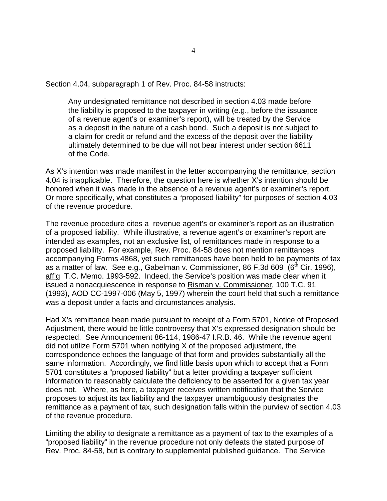Section 4.04, subparagraph 1 of Rev. Proc. 84-58 instructs:

Any undesignated remittance not described in section 4.03 made before the liability is proposed to the taxpayer in writing (e.g., before the issuance of a revenue agent's or examiner's report), will be treated by the Service as a deposit in the nature of a cash bond. Such a deposit is not subject to a claim for credit or refund and the excess of the deposit over the liability ultimately determined to be due will not bear interest under section 6611 of the Code.

As X's intention was made manifest in the letter accompanying the remittance, section 4.04 is inapplicable. Therefore, the question here is whether X's intention should be honored when it was made in the absence of a revenue agent's or examiner's report. Or more specifically, what constitutes a "proposed liability" for purposes of section 4.03 of the revenue procedure.

The revenue procedure cites a revenue agent's or examiner's report as an illustration of a proposed liability. While illustrative, a revenue agent's or examiner's report are intended as examples, not an exclusive list, of remittances made in response to a proposed liability. For example, Rev. Proc. 84-58 does not mention remittances accompanying Forms 4868, yet such remittances have been held to be payments of tax as a matter of law. See e.g., Gabelman v. Commissioner, 86 F.3d 609 (6<sup>th</sup> Cir. 1996), aff'g T.C. Memo. 1993-592. Indeed, the Service's position was made clear when it issued a nonacquiescence in response to Risman v. Commissioner, 100 T.C. 91 (1993), AOD CC-1997-006 (May 5, 1997) wherein the court held that such a remittance was a deposit under a facts and circumstances analysis.

Had X's remittance been made pursuant to receipt of a Form 5701, Notice of Proposed Adjustment, there would be little controversy that X's expressed designation should be respected. See Announcement 86-114, 1986-47 I.R.B. 46. While the revenue agent did not utilize Form 5701 when notifying X of the proposed adjustment, the correspondence echoes the language of that form and provides substantially all the same information. Accordingly, we find little basis upon which to accept that a Form 5701 constitutes a "proposed liability" but a letter providing a taxpayer sufficient information to reasonably calculate the deficiency to be asserted for a given tax year does not. Where, as here, a taxpayer receives written notification that the Service proposes to adjust its tax liability and the taxpayer unambiguously designates the remittance as a payment of tax, such designation falls within the purview of section 4.03 of the revenue procedure.

Limiting the ability to designate a remittance as a payment of tax to the examples of a "proposed liability" in the revenue procedure not only defeats the stated purpose of Rev. Proc. 84-58, but is contrary to supplemental published guidance. The Service